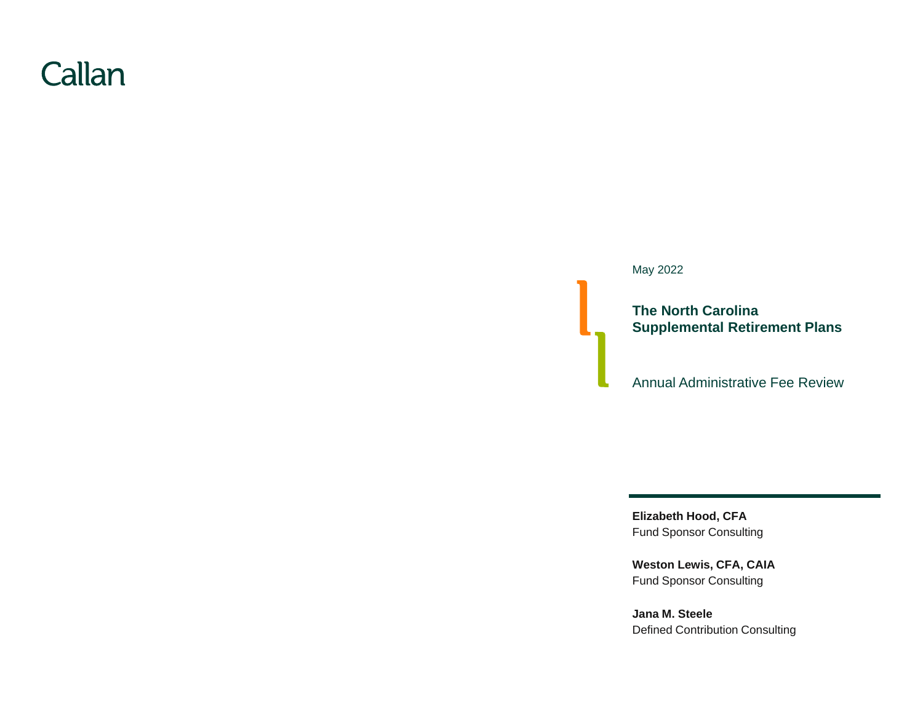# Callan

May 2022

**The North Carolina Supplemental Retirement Plans**

Annual Administrative Fee Review

**Elizabeth Hood, CFA** Fund Sponsor Consulting

**Weston Lewis, CFA, CAIA** Fund Sponsor Consulting

**Jana M. Steele** Defined Contribution Consulting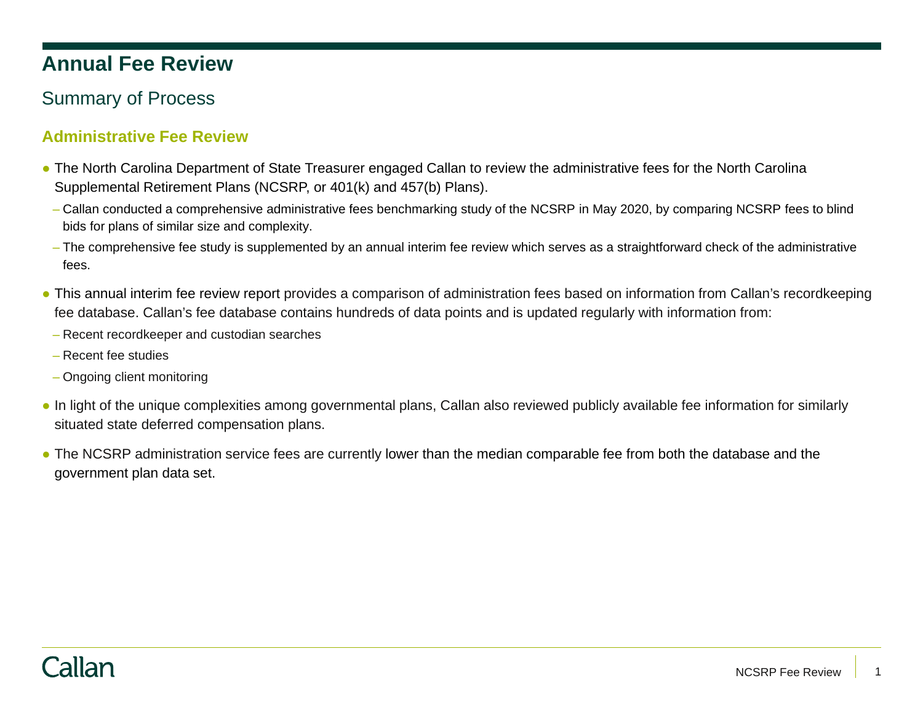# **Annual Fee Review**

## Summary of Process

### **Administrative Fee Review**

- The North Carolina Department of State Treasurer engaged Callan to review the administrative fees for the North Carolina Supplemental Retirement Plans (NCSRP, or 401(k) and 457(b) Plans).
	- Callan conducted a comprehensive administrative fees benchmarking study of the NCSRP in May 2020, by comparing NCSRP fees to blind bids for plans of similar size and complexity.
	- The comprehensive fee study is supplemented by an annual interim fee review which serves as a straightforward check of the administrative fees.
- This annual interim fee review report provides a comparison of administration fees based on information from Callan's recordkeeping fee database. Callan's fee database contains hundreds of data points and is updated regularly with information from:
	- Recent recordkeeper and custodian searches
	- Recent fee studies
	- Ongoing client monitoring
- In light of the unique complexities among governmental plans, Callan also reviewed publicly available fee information for similarly situated state deferred compensation plans.
- The NCSRP administration service fees are currently lower than the median comparable fee from both the database and the government plan data set.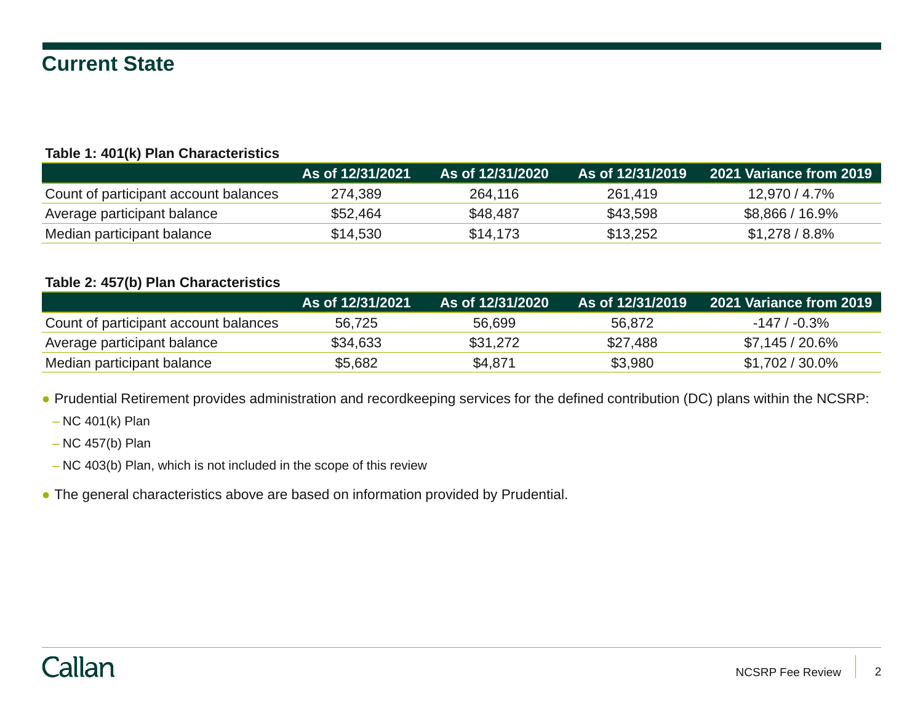## **Current State**

#### **Table 1: 401(k) Plan Characteristics**

|                                       | As of 12/31/2021 | As of 12/31/2020 \ | As of 12/31/2019 | 2021 Variance from 2019 |
|---------------------------------------|------------------|--------------------|------------------|-------------------------|
| Count of participant account balances | 274,389          | 264,116            | 261.419          | 12,970 / 4.7%           |
| Average participant balance           | \$52,464         | \$48,487           | \$43,598         | $$8,866 / 16.9\%$       |
| Median participant balance            | \$14,530         | \$14,173           | \$13,252         | $$1,278/8.8\%$          |

#### **Table 2: 457(b) Plan Characteristics**

|                                       | As of 12/31/2021\ | As of 12/31/2020 | As of 12/31/2019 | 2021 Variance from 2019 |
|---------------------------------------|-------------------|------------------|------------------|-------------------------|
| Count of participant account balances | 56.725            | 56,699           | 56.872           | $-147/ -0.3\%$          |
| Average participant balance           | \$34,633          | \$31,272         | \$27,488         | $$7,145/20.6\%$         |
| Median participant balance            | \$5,682           | \$4,871          | \$3,980          | $$1,702/30.0\%$         |

● Prudential Retirement provides administration and recordkeeping services for the defined contribution (DC) plans within the NCSRP:

– NC 401(k) Plan

– NC 457(b) Plan

- NC 403(b) Plan, which is not included in the scope of this review
- The general characteristics above are based on information provided by Prudential.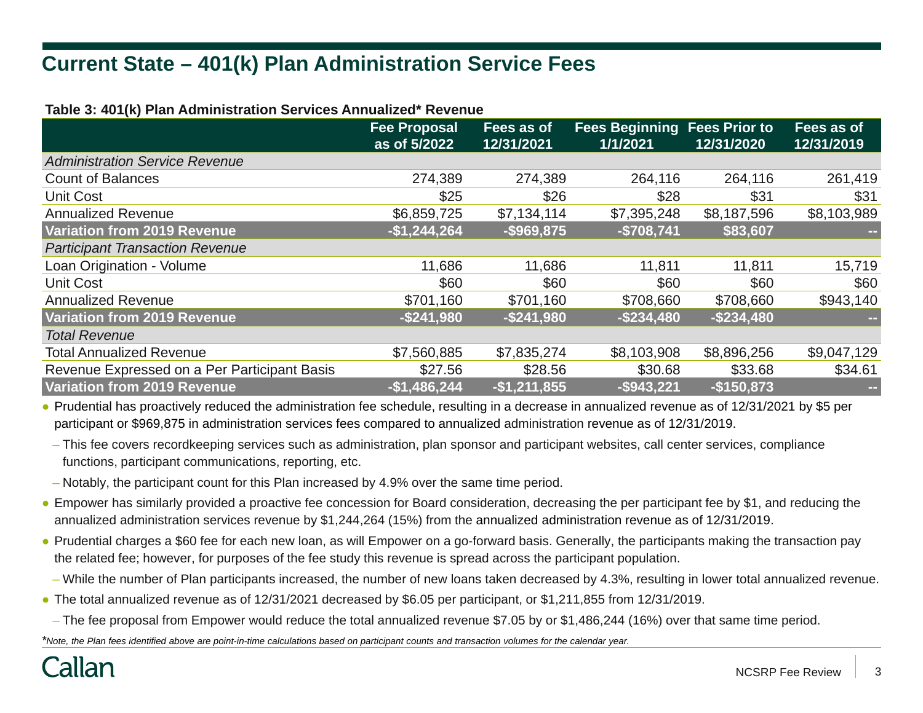# **Current State – 401(k) Plan Administration Service Fees**

| Table 3. 40 I(K) Fiall Administration 36 Yices Annualized Nevenue |                                     |                          |                                                 |               |                          |
|-------------------------------------------------------------------|-------------------------------------|--------------------------|-------------------------------------------------|---------------|--------------------------|
|                                                                   | <b>Fee Proposal</b><br>as of 5/2022 | Fees as of<br>12/31/2021 | <b>Fees Beginning Fees Prior to</b><br>1/1/2021 | 12/31/2020    | Fees as of<br>12/31/2019 |
| <b>Administration Service Revenue</b>                             |                                     |                          |                                                 |               |                          |
| <b>Count of Balances</b>                                          | 274,389                             | 274,389                  | 264,116                                         | 264,116       | 261,419                  |
| <b>Unit Cost</b>                                                  | \$25                                | \$26                     | \$28                                            | \$31          | \$31                     |
| <b>Annualized Revenue</b>                                         | \$6,859,725                         | \$7,134,114              | \$7,395,248                                     | \$8,187,596   | \$8,103,989              |
| <b>Variation from 2019 Revenue</b>                                | $-$1,244,264$                       | $-$ \$969,875            | $-$708,741$                                     | \$83,607      |                          |
| <b>Participant Transaction Revenue</b>                            |                                     |                          |                                                 |               |                          |
| Loan Origination - Volume                                         | 11,686                              | 11,686                   | 11,811                                          | 11,811        | 15,719                   |
| <b>Unit Cost</b>                                                  | \$60                                | \$60                     | \$60                                            | \$60          | \$60                     |
| <b>Annualized Revenue</b>                                         | \$701,160                           | \$701,160                | \$708,660                                       | \$708,660     | \$943,140                |
| <b>Variation from 2019 Revenue</b>                                | $-$ \$241,980                       | $-$ \$241,980            | $-$ \$234,480                                   | $-$ \$234,480 |                          |
| <b>Total Revenue</b>                                              |                                     |                          |                                                 |               |                          |
| <b>Total Annualized Revenue</b>                                   | \$7,560,885                         | \$7,835,274              | \$8,103,908                                     | \$8,896,256   | \$9,047,129              |
| Revenue Expressed on a Per Participant Basis                      | \$27.56                             | \$28.56                  | \$30.68                                         | \$33.68       | \$34.61                  |
| <b>Variation from 2019 Revenue</b>                                | $-$1,486,244$                       | $-$1,211,855$            | $-$ \$943,221                                   | $-$150,873$   |                          |

**Table 3: 401(k) Plan Administration Services Annualized\* Revenue**

● Prudential has proactively reduced the administration fee schedule, resulting in a decrease in annualized revenue as of 12/31/2021 by \$5 per participant or \$969,875 in administration services fees compared to annualized administration revenue as of 12/31/2019.

– This fee covers recordkeeping services such as administration, plan sponsor and participant websites, call center services, compliance functions, participant communications, reporting, etc.

– Notably, the participant count for this Plan increased by 4.9% over the same time period.

- Empower has similarly provided a proactive fee concession for Board consideration, decreasing the per participant fee by \$1, and reducing the annualized administration services revenue by \$1,244,264 (15%) from the annualized administration revenue as of 12/31/2019.
- Prudential charges a \$60 fee for each new loan, as will Empower on a go-forward basis. Generally, the participants making the transaction pay the related fee; however, for purposes of the fee study this revenue is spread across the participant population.
	- While the number of Plan participants increased, the number of new loans taken decreased by 4.3%, resulting in lower total annualized revenue.
- The total annualized revenue as of 12/31/2021 decreased by \$6.05 per participant, or \$1,211,855 from 12/31/2019.
- The fee proposal from Empower would reduce the total annualized revenue \$7.05 by or \$1,486,244 (16%) over that same time period.

*\*Note, the Plan fees identified above are point-in-time calculations based on participant counts and transaction volumes for the calendar year.*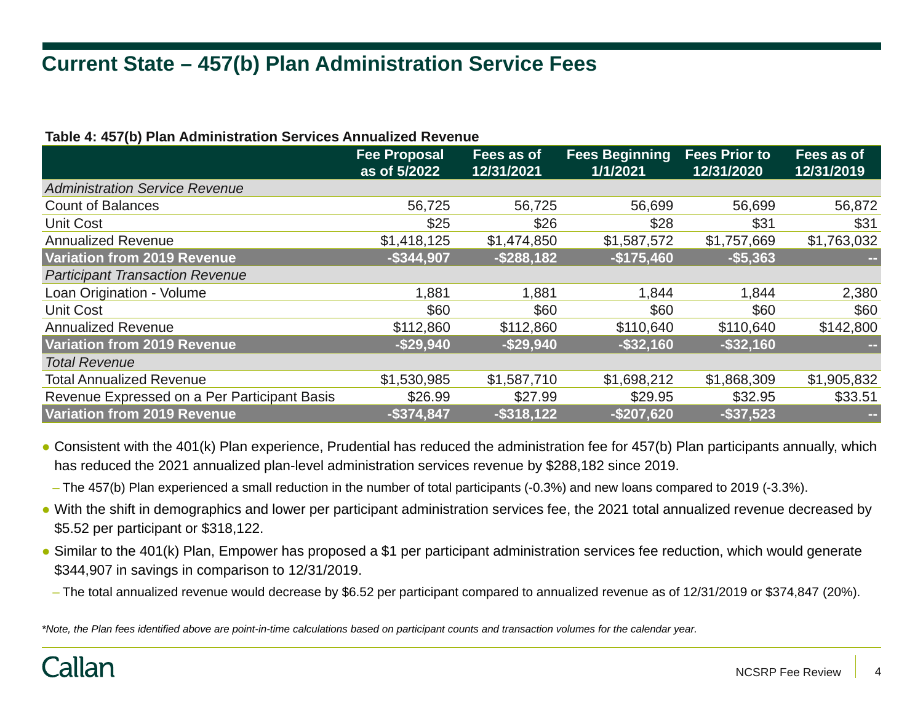# **Current State – 457(b) Plan Administration Service Fees**

#### **Table 4: 457(b) Plan Administration Services Annualized Revenue**

|                                              | <b>Fee Proposal</b><br>as of 5/2022 | Fees as of<br>12/31/2021 | <b>Fees Beginning</b><br>1/1/2021 | <b>Fees Prior to</b><br>12/31/2020 | Fees as of<br>12/31/2019 |
|----------------------------------------------|-------------------------------------|--------------------------|-----------------------------------|------------------------------------|--------------------------|
| <b>Administration Service Revenue</b>        |                                     |                          |                                   |                                    |                          |
| <b>Count of Balances</b>                     | 56,725                              | 56,725                   | 56,699                            | 56,699                             | 56,872                   |
| <b>Unit Cost</b>                             | \$25                                | \$26                     | \$28                              | \$31                               | \$31                     |
| <b>Annualized Revenue</b>                    | \$1,418,125                         | \$1,474,850              | \$1,587,572                       | \$1,757,669                        | \$1,763,032              |
| Variation from 2019 Revenue                  | $-$ \$344,907                       | $-$ \$288,182            | $-$175,460$                       | $- $5,363$                         |                          |
| <b>Participant Transaction Revenue</b>       |                                     |                          |                                   |                                    |                          |
| Loan Origination - Volume                    | 1,881                               | 1,881                    | 1,844                             | 1,844                              | 2,380                    |
| <b>Unit Cost</b>                             | \$60                                | \$60                     | \$60                              | \$60                               | \$60                     |
| <b>Annualized Revenue</b>                    | \$112,860                           | \$112,860                | \$110,640                         | \$110,640                          | \$142,800                |
| Variation from 2019 Revenue                  | $-$ \$29,940                        | $-$ \$29,940             | $-$ \$32,160                      | $-$ \$32,160                       |                          |
| <b>Total Revenue</b>                         |                                     |                          |                                   |                                    |                          |
| <b>Total Annualized Revenue</b>              | \$1,530,985                         | \$1,587,710              | \$1,698,212                       | \$1,868,309                        | \$1,905,832              |
| Revenue Expressed on a Per Participant Basis | \$26.99                             | \$27.99                  | \$29.95                           | \$32.95                            | \$33.51                  |
| Variation from 2019 Revenue                  | $-$ \$374,847                       | $-$ \$318,122            | $-$ \$207,620                     | $-$ \$37,523                       |                          |

• Consistent with the 401(k) Plan experience, Prudential has reduced the administration fee for 457(b) Plan participants annually, which has reduced the 2021 annualized plan-level administration services revenue by \$288,182 since 2019.

– The 457(b) Plan experienced a small reduction in the number of total participants (-0.3%) and new loans compared to 2019 (-3.3%).

- With the shift in demographics and lower per participant administration services fee, the 2021 total annualized revenue decreased by \$5.52 per participant or \$318,122.
- Similar to the 401(k) Plan, Empower has proposed a \$1 per participant administration services fee reduction, which would generate \$344,907 in savings in comparison to 12/31/2019.
- The total annualized revenue would decrease by \$6.52 per participant compared to annualized revenue as of 12/31/2019 or \$374,847 (20%).

*\*Note, the Plan fees identified above are point-in-time calculations based on participant counts and transaction volumes for the calendar year.*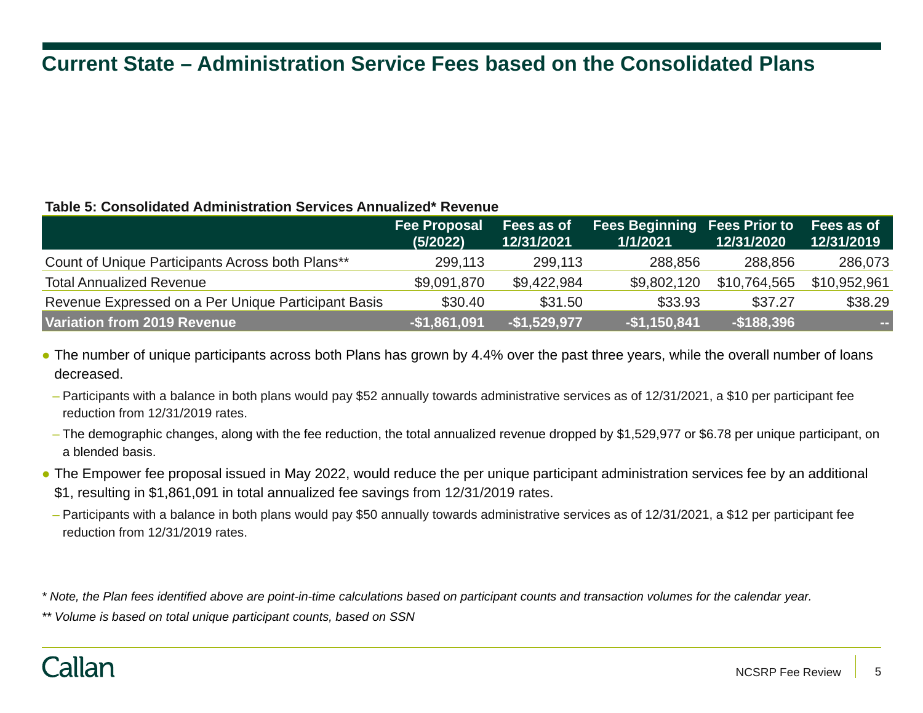# **Current State – Administration Service Fees based on the Consolidated Plans**

#### **Table 5: Consolidated Administration Services Annualized\* Revenue**

|                                                     | <b>Fee Proposal</b><br>(5/2022) | Fees as of<br>12/31/2021 | <b>Fees Beginning Fees Prior to</b><br>1/1/2021 | 12/31/2020    | Fees as of<br>12/31/2019 |
|-----------------------------------------------------|---------------------------------|--------------------------|-------------------------------------------------|---------------|--------------------------|
| Count of Unique Participants Across both Plans**    | 299,113                         | 299,113                  | 288,856                                         | 288,856       | 286,073                  |
| <b>Total Annualized Revenue</b>                     | \$9,091,870                     | \$9,422,984              | \$9,802,120                                     | \$10,764,565  | \$10,952,961             |
| Revenue Expressed on a Per Unique Participant Basis | \$30.40                         | \$31.50                  | \$33.93                                         | \$37.27       | \$38.29                  |
| Variation from 2019 Revenue                         | $-$1,861,091$                   | $-$1,529,977$            | $-$1,150,841$                                   | $-$ \$188,396 | <b>COL</b>               |

- The number of unique participants across both Plans has grown by 4.4% over the past three years, while the overall number of loans decreased.
- Participants with a balance in both plans would pay \$52 annually towards administrative services as of 12/31/2021, a \$10 per participant fee reduction from 12/31/2019 rates.
- The demographic changes, along with the fee reduction, the total annualized revenue dropped by \$1,529,977 or \$6.78 per unique participant, on a blended basis.
- The Empower fee proposal issued in May 2022, would reduce the per unique participant administration services fee by an additional \$1, resulting in \$1,861,091 in total annualized fee savings from 12/31/2019 rates.
- Participants with a balance in both plans would pay \$50 annually towards administrative services as of 12/31/2021, a \$12 per participant fee reduction from 12/31/2019 rates.

*\* Note, the Plan fees identified above are point-in-time calculations based on participant counts and transaction volumes for the calendar year.*

*\*\* Volume is based on total unique participant counts, based on SSN*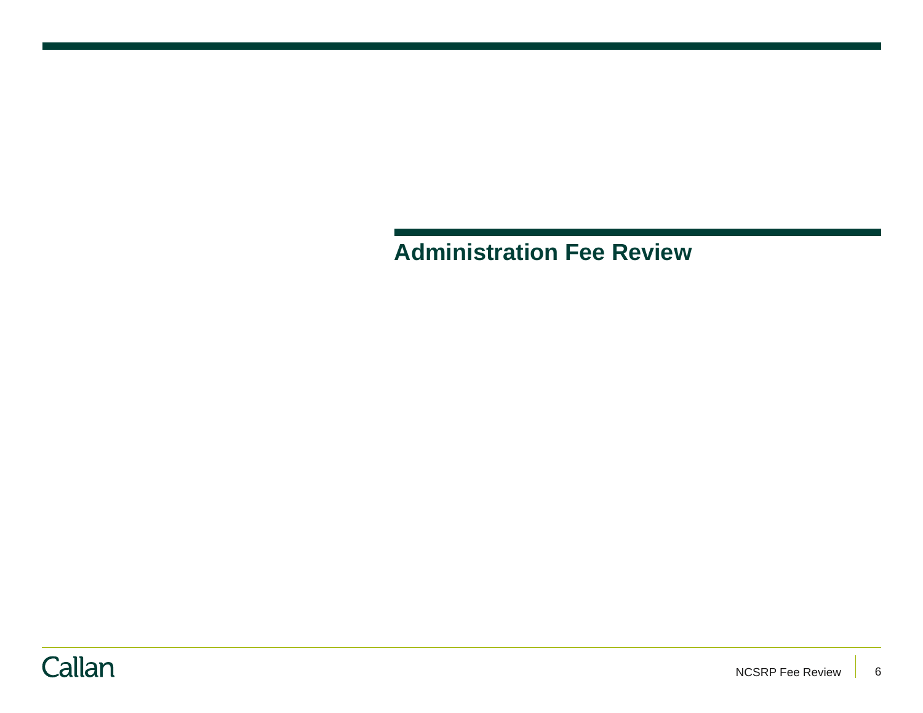**Administration Fee Review** 

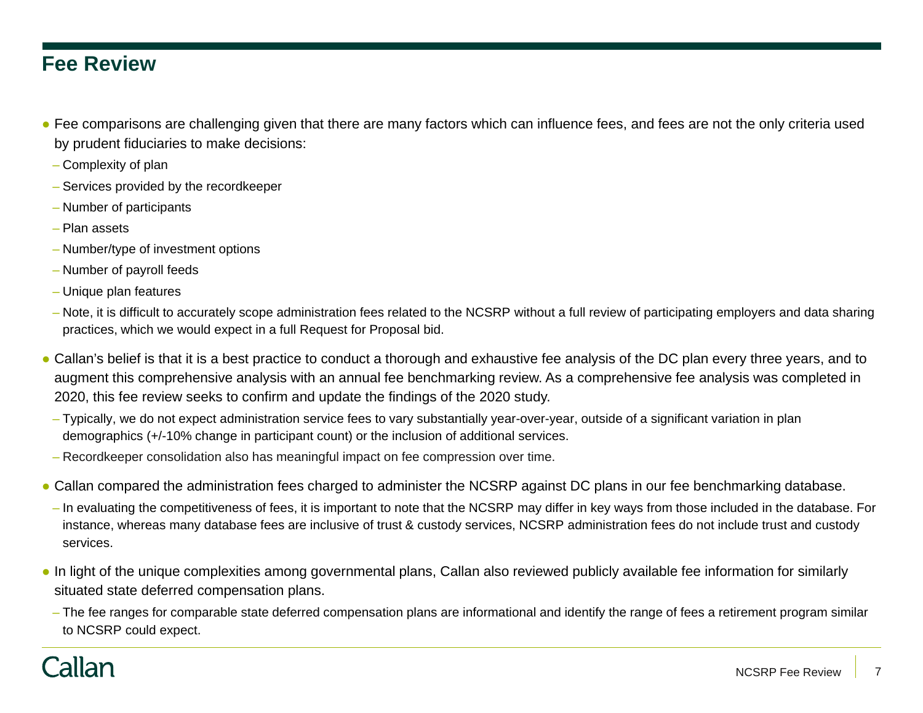### **Fee Review**

- Fee comparisons are challenging given that there are many factors which can influence fees, and fees are not the only criteria used by prudent fiduciaries to make decisions:
- Complexity of plan
- Services provided by the recordkeeper
- Number of participants
- Plan assets
- Number/type of investment options
- Number of payroll feeds
- Unique plan features
- Note, it is difficult to accurately scope administration fees related to the NCSRP without a full review of participating employers and data sharing practices, which we would expect in a full Request for Proposal bid.
- Callan's belief is that it is a best practice to conduct a thorough and exhaustive fee analysis of the DC plan every three years, and to augment this comprehensive analysis with an annual fee benchmarking review. As a comprehensive fee analysis was completed in 2020, this fee review seeks to confirm and update the findings of the 2020 study.
	- Typically, we do not expect administration service fees to vary substantially year-over-year, outside of a significant variation in plan demographics (+/-10% change in participant count) or the inclusion of additional services.
	- Recordkeeper consolidation also has meaningful impact on fee compression over time.
- Callan compared the administration fees charged to administer the NCSRP against DC plans in our fee benchmarking database.
- In evaluating the competitiveness of fees, it is important to note that the NCSRP may differ in key ways from those included in the database. For instance, whereas many database fees are inclusive of trust & custody services, NCSRP administration fees do not include trust and custody services.
- In light of the unique complexities among governmental plans, Callan also reviewed publicly available fee information for similarly situated state deferred compensation plans.
- The fee ranges for comparable state deferred compensation plans are informational and identify the range of fees a retirement program similar to NCSRP could expect.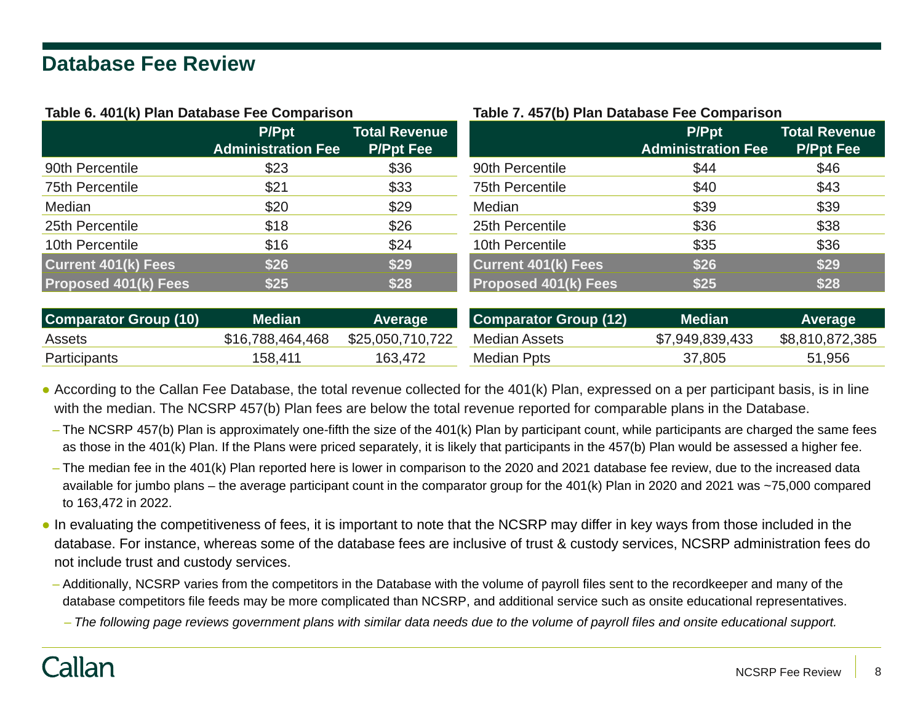### **Database Fee Review**

#### **Table 6. 401(k) Plan Database Fee Comparison**

|                             | <b>P/Ppt</b><br><b>Administration Fee</b> | <b>Total Revenue</b><br><b>P/Ppt Fee</b> |                             | <b>P/Ppt</b><br><b>Administration Fee</b> | <b>Total Revenue</b><br><b>P/Ppt Fee</b> |
|-----------------------------|-------------------------------------------|------------------------------------------|-----------------------------|-------------------------------------------|------------------------------------------|
| 90th Percentile             | \$23                                      | \$36                                     | 90th Percentile             | \$44                                      | \$46                                     |
| <b>75th Percentile</b>      | \$21                                      | \$33                                     | <b>75th Percentile</b>      | \$40                                      | \$43                                     |
| Median                      | \$20                                      | \$29                                     | Median                      | \$39                                      | \$39                                     |
| 25th Percentile             | \$18                                      | \$26                                     | 25th Percentile             | \$36                                      | \$38                                     |
| 10th Percentile             | \$16                                      | \$24                                     | 10th Percentile             | \$35                                      | \$36                                     |
| <b>Current 401(k) Fees</b>  | \$26                                      | \$29                                     | <b>Current 401(k) Fees</b>  | \$26                                      | \$29                                     |
| <b>Proposed 401(k) Fees</b> | \$25                                      | \$28                                     | <b>Proposed 401(k) Fees</b> | \$25                                      | \$28                                     |

| <b>Comparator Group (10)</b> | <b>Median</b>    | <b>Average</b>   | Comparator Group (12) | <b>Median</b>   | <b>Average</b>  |
|------------------------------|------------------|------------------|-----------------------|-----------------|-----------------|
| Assets                       | \$16,788,464,468 | \$25,050,710,722 | Median Assets         | \$7,949,839,433 | \$8,810,872,385 |
| Participants                 | 158.411          | 163,472          | Median Ppts           | 37,805          | 51,956          |

● According to the Callan Fee Database, the total revenue collected for the 401(k) Plan, expressed on a per participant basis, is in line with the median. The NCSRP 457(b) Plan fees are below the total revenue reported for comparable plans in the Database.

- The NCSRP 457(b) Plan is approximately one-fifth the size of the 401(k) Plan by participant count, while participants are charged the same fees as those in the 401(k) Plan. If the Plans were priced separately, it is likely that participants in the 457(b) Plan would be assessed a higher fee.
- The median fee in the 401(k) Plan reported here is lower in comparison to the 2020 and 2021 database fee review, due to the increased data available for jumbo plans – the average participant count in the comparator group for the 401(k) Plan in 2020 and 2021 was ~75,000 compared to 163,472 in 2022.
- In evaluating the competitiveness of fees, it is important to note that the NCSRP may differ in key ways from those included in the database. For instance, whereas some of the database fees are inclusive of trust & custody services, NCSRP administration fees do not include trust and custody services.
	- Additionally, NCSRP varies from the competitors in the Database with the volume of payroll files sent to the recordkeeper and many of the database competitors file feeds may be more complicated than NCSRP, and additional service such as onsite educational representatives.
		- *The following page reviews government plans with similar data needs due to the volume of payroll files and onsite educational support.*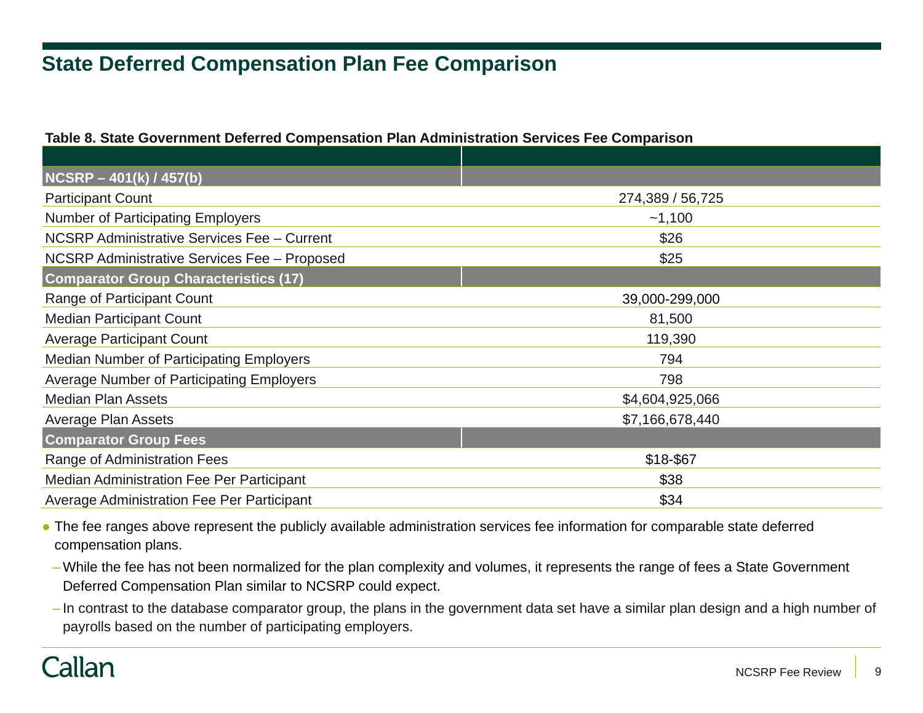# **State Deferred Compensation Plan Fee Comparison**

#### **Table 8. State Government Deferred Compensation Plan Administration Services Fee Comparison**

| NCSRP - 401(k) / 457(b)                           |                  |
|---------------------------------------------------|------------------|
| <b>Participant Count</b>                          | 274,389 / 56,725 |
| <b>Number of Participating Employers</b>          | $-1,100$         |
| NCSRP Administrative Services Fee - Current       | \$26             |
| NCSRP Administrative Services Fee - Proposed      | \$25             |
| <b>Comparator Group Characteristics (17)</b>      |                  |
| Range of Participant Count                        | 39,000-299,000   |
| <b>Median Participant Count</b>                   | 81,500           |
| <b>Average Participant Count</b>                  | 119,390          |
| <b>Median Number of Participating Employers</b>   | 794              |
| Average Number of Participating Employers         | 798              |
| <b>Median Plan Assets</b>                         | \$4,604,925,066  |
| <b>Average Plan Assets</b>                        | \$7,166,678,440  |
| <b>Comparator Group Fees</b>                      |                  |
| Range of Administration Fees                      | \$18-\$67        |
| Median Administration Fee Per Participant         | \$38             |
| <b>Average Administration Fee Per Participant</b> | \$34             |

● The fee ranges above represent the publicly available administration services fee information for comparable state deferred compensation plans.

- While the fee has not been normalized for the plan complexity and volumes, it represents the range of fees a State Government Deferred Compensation Plan similar to NCSRP could expect.
- In contrast to the database comparator group, the plans in the government data set have a similar plan design and a high number of payrolls based on the number of participating employers.